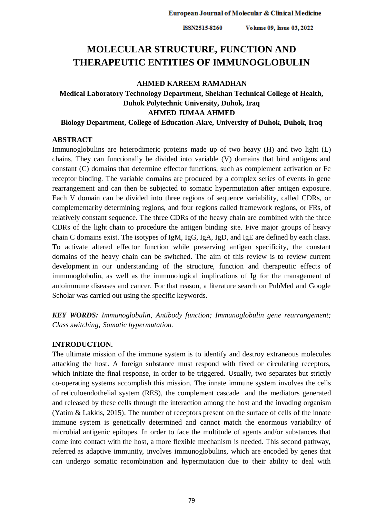# **MOLECULAR STRUCTURE, FUNCTION AND THERAPEUTIC ENTITIES OF IMMUNOGLOBULIN**

## **AHMED KAREEM RAMADHAN**

# **Medical Laboratory Technology Department, Shekhan Technical College of Health, Duhok Polytechnic University, Duhok, Iraq AHMED JUMAA AHMED**

**Biology Department, College of Education-Akre, University of Duhok, Duhok, Iraq**

## **ABSTRACT**

Immunoglobulins are heterodimeric proteins made up of two heavy (H) and two light (L) chains. They can functionally be divided into variable (V) domains that bind antigens and constant (C) domains that determine effector functions, such as complement activation or Fc receptor binding. The variable domains are produced by a complex series of events in gene rearrangement and can then be subjected to somatic hypermutation after antigen exposure. Each V domain can be divided into three regions of sequence variability, called CDRs, or complementarity determining regions, and four regions called framework regions, or FRs, of relatively constant sequence. The three CDRs of the heavy chain are combined with the three CDRs of the light chain to procedure the antigen binding site. Five major groups of heavy chain C domains exist. The isotypes of IgM, IgG, IgA, IgD, and IgE are defined by each class. To activate altered effector function while preserving antigen specificity, the constant domains of the heavy chain can be switched. The aim of this review is to review current development in our understanding of the structure, function and therapeutic effects of immunoglobulin, as well as the immunological implications of Ig for the management of autoimmune diseases and cancer. For that reason, a literature search on PubMed and Google Scholar was carried out using the specific keywords.

*KEY WORDS: Immunoglobulin, Antibody function; Immunoglobulin gene rearrangement; Class switching; Somatic hypermutation.*

## **INTRODUCTION.**

The ultimate mission of the immune system is to identify and destroy extraneous molecules attacking the host. A foreign substance must respond with fixed or circulating receptors, which initiate the final response, in order to be triggered. Usually, two separates but strictly co-operating systems accomplish this mission. The innate immune system involves the cells of reticuloendothelial system (RES), the complement cascade and the mediators generated and released by these cells through the interaction among the host and the invading organism (Yatim & Lakkis, 2015). The number of receptors present on the surface of cells of the innate immune system is genetically determined and cannot match the enormous variability of microbial antigenic epitopes. In order to face the multitude of agents and/or substances that come into contact with the host, a more flexible mechanism is needed. This second pathway, referred as adaptive immunity, involves immunoglobulins, which are encoded by genes that can undergo somatic recombination and hypermutation due to their ability to deal with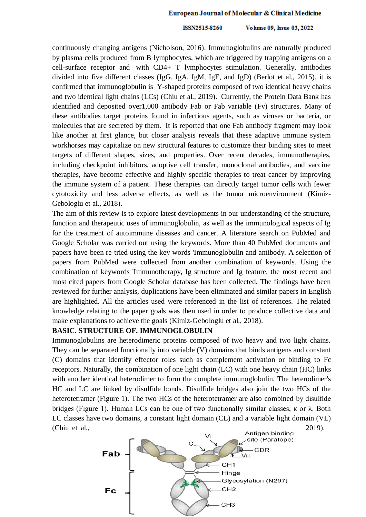#### ISSN2515-8260 Volume 09, Issue 03, 2022

continuously changing antigens (Nicholson, 2016). Immunoglobulins are naturally produced by plasma cells produced from B lymphocytes, which are triggered by trapping antigens on a cell-surface receptor and with CD4+ T lymphocytes stimulation. Generally, antibodies divided into five different classes (IgG, IgA, IgM, IgE, and IgD) (Berlot et al., 2015). it is confirmed that immunoglobulin is Y-shaped proteins composed of two identical heavy chains and two identical light chains (LCs) (Chiu et al., 2019). Currently, the Protein Data Bank has identified and deposited over1,000 antibody Fab or Fab variable (Fv) structures. Many of these antibodies target proteins found in infectious agents, such as viruses or bacteria, or molecules that are secreted by them. It is reported that one Fab antibody fragment may look like another at first glance, but closer analysis reveals that these adaptive immune system workhorses may capitalize on new structural features to customize their binding sites to meet targets of different shapes, sizes, and properties. Over recent decades, immunotherapies, including checkpoint inhibitors, adoptive cell transfer, monoclonal antibodies, and vaccine therapies, have become effective and highly specific therapies to treat cancer by improving the immune system of a patient. These therapies can directly target tumor cells with fewer cytotoxicity and less adverse effects, as well as the tumor microenvironment (Kimiz-Gebologlu et al., 2018).

The aim of this review is to explore latest developments in our understanding of the structure, function and therapeutic uses of immunoglobulin, as well as the immunological aspects of Ig for the treatment of autoimmune diseases and cancer. A literature search on PubMed and Google Scholar was carried out using the keywords. More than 40 PubMed documents and papers have been re-tried using the key words 'Immunoglobulin and antibody. A selection of papers from PubMed were collected from another combination of keywords. Using the combination of keywords 'Immunotherapy, Ig structure and Ig feature, the most recent and most cited papers from Google Scholar database has been collected. The findings have been reviewed for further analysis, duplications have been eliminated and similar papers in English are highlighted. All the articles used were referenced in the list of references. The related knowledge relating to the paper goals was then used in order to produce collective data and make explanations to achieve the goals (Kimiz-Gebologlu et al., 2018).

#### **BASIC. STRUCTURE OF. IMMUNOGLOBULIN.**

Immunoglobulins are heterodimeric proteins composed of two heavy and two light chains. They can be separated functionally into variable (V) domains that binds antigens and constant (C) domains that identify effector roles such as complement activation or binding to Fc receptors. Naturally, the combination of one light chain (LC) with one heavy chain (HC) links with another identical heterodimer to form the complete immunoglobulin. The heterodimer's HC and LC are linked by disulfide bonds. Disulfide bridges also join the two HCs of the heterotetramer (Figure 1). The two HCs of the heterotetramer are also combined by disulfide bridges (Figure 1). Human LCs can be one of two functionally similar classes, κ or  $λ$ . Both LC classes have two domains, a constant light domain (CL) and a variable light domain (VL) (Chiu et al.,  $2019$ ).  $2019$ ).

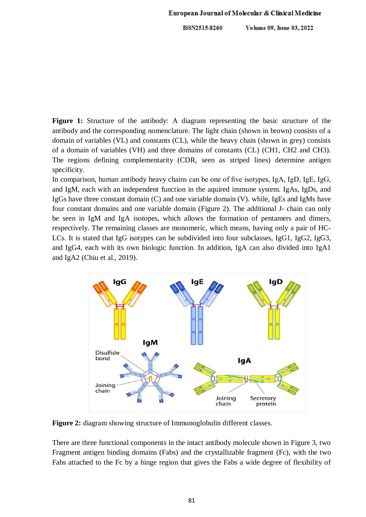**Figure 1:** Structure of the antibody: A diagram representing the basic structure of the antibody and the corresponding nomenclature. The light chain (shown in brown) consists of a domain of variables (VL) and constants (CL), while the heavy chain (shown in grey) consists of a domain of variables (VH) and three domains of constants (CL) (CH1, CH2 and CH3). The regions defining complementarity (CDR, seen as striped lines) determine antigen specificity.

In comparison, human antibody heavy chains can be one of five isotypes, IgA, IgD, IgE, IgG, and IgM, each with an independent function in the aquired immune system. IgAs, IgDs, and IgGs have three constant domain (C) and one variable domain (V). while, IgEs and IgMs have four constant domains and one variable domain (Figure 2). The additional J- chain can only be seen in IgM and IgA isotopes, which allows the formation of pentamers and dimers, respectively. The remaining classes are monomeric, which means, having only a pair of HC-LCs. It is stated that IgG isotypes can be subdivided into four subclasses, IgG1, IgG2, IgG3, and IgG4, each with its own biologic function. In addition, IgA can also divided into IgA1 and IgA2 (Chiu et al., 2019).



**Figure 2:** diagram showing structure of Immunoglobulin different classes.

There are three functional components in the intact antibody molecule shown in Figure 3, two Fragment antigen binding domains (Fabs) and the crystallizable fragment (Fc), with the two Fabs attached to the Fc by a hinge region that gives the Fabs a wide degree of flexibility of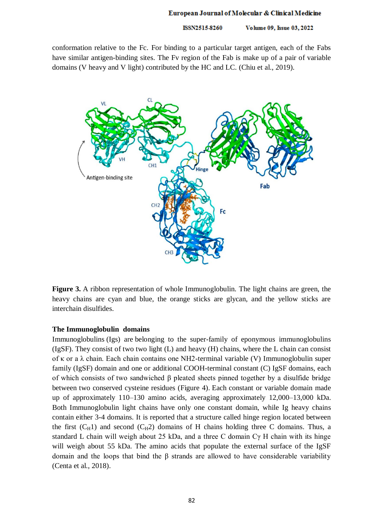ISSN2515-8260 Volume 09, Issue 03, 2022

conformation relative to the Fc. For binding to a particular target antigen, each of the Fabs have similar antigen-binding sites. The Fv region of the Fab is make up of a pair of variable domains (V heavy and V light) contributed by the HC and LC. (Chiu et al., 2019).



**Figure 3.** A ribbon representation of whole Immunoglobulin. The light chains are green, the heavy chains are cyan and blue, the orange sticks are glycan, and the yellow sticks are interchain disulfides.

## **The Immunoglobulin. domains.**

Immunoglobulins (Igs) are belonging to the super-family of eponymous immunoglobulins (IgSF). They consist of two two light (L) and heavy (H) chains, where the L chain can consist of κ or a λ chain. Each chain contains one NH2-terminal variable (V) Immunoglobulin super family (IgSF) domain and one or additional COOH-terminal constant (C) IgSF domains, each of which consists of two sandwiched β pleated sheets pinned together by a disulfide bridge between two conserved cysteine residues (Figure 4). Each constant or variable domain made up of approximately 110–130 amino acids, averaging approximately 12,000–13,000 kDa. Both Immunoglobulin light chains have only one constant domain, while Ig heavy chains contain either 3-4 domains. It is reported that a structure called hinge region located between the first  $(C_H1)$  and second  $(C_H2)$  domains of H chains holding three C domains. Thus, a standard L chain will weigh about 25 kDa, and a three C domain Cγ H chain with its hinge will weigh about 55 kDa. The amino acids that populate the external surface of the IgSF domain and the loops that bind the β strands are allowed to have considerable variability (Centa et al., 2018).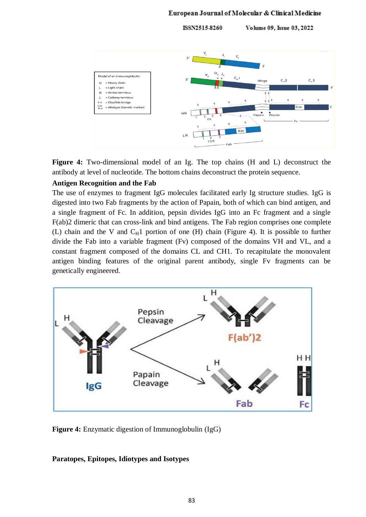ISSN2515-8260 Volume 09, Issue 03, 2022



**Figure 4:** Two-dimensional model of an Ig. The top chains (H and L) deconstruct the antibody at level of nucleotide. The bottom chains deconstruct the protein sequence.

#### **Antigen Recognition and the Fab**

The use of enzymes to fragment IgG molecules facilitated early Ig structure studies. IgG is digested into two Fab fragments by the action of Papain, both of which can bind antigen, and a single fragment of Fc. In addition, pepsin divides IgG into an Fc fragment and a single F(ab)2 dimeric that can cross-link and bind antigens. The Fab region comprises one complete (L) chain and the V and  $C_H1$  portion of one (H) chain [\(Figure 4](https://www.ncbi.nlm.nih.gov/pmc/articles/PMC3670108/figure/F1/)). It is possible to further divide the Fab into a variable fragment (Fv) composed of the domains VH and VL, and a constant fragment composed of the domains CL and CH1. To recapitulate the monovalent antigen binding features of the original parent antibody, single Fv fragments can be genetically engineered.



**Figure 4:** Enzymatic digestion of Immunoglobulin (IgG)

### **Paratopes, Epitopes, Idiotypes and Isotypes**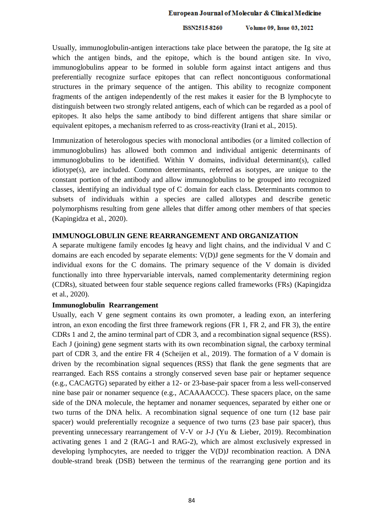#### ISSN2515-8260 Volume 09, Issue 03, 2022

Usually, immunoglobulin-antigen interactions take place between the paratope, the Ig site at which the antigen binds, and the epitope, which is the bound antigen site. In vivo, immunoglobulins appear to be formed in soluble form against intact antigens and thus preferentially recognize surface epitopes that can reflect noncontiguous conformational structures in the primary sequence of the antigen. This ability to recognize component fragments of the antigen independently of the rest makes it easier for the B lymphocyte to distinguish between two strongly related antigens, each of which can be regarded as a pool of epitopes. It also helps the same antibody to bind different antigens that share similar or equivalent epitopes, a mechanism referred to as cross-reactivity (Irani et al., 2015).

Immunization of heterologous species with monoclonal antibodies (or a limited collection of immunoglobulins) has allowed both common and individual antigenic determinants of immunoglobulins to be identified. Within V domains, individual determinant(s), called idiotype(s), are included. Common determinants, referred as isotypes, are unique to the constant portion of the antibody and allow immunoglobulins to be grouped into recognized classes, identifying an individual type of C domain for each class. Determinants common to subsets of individuals within a species are called allotypes and describe genetic polymorphisms resulting from gene alleles that differ among other members of that species (Kapingidza et al., 2020).

## **IMMUNOGLOBULIN GENE REARRANGEMENT AND ORGANIZATION**

A separate multigene family encodes Ig heavy and light chains, and the individual V and C domains are each encoded by separate elements: V(D)J gene segments for the V domain and individual exons for the C domains. The primary sequence of the V domain is divided functionally into three hypervariable intervals, named complementarity determining region (CDRs), situated between four stable sequence regions called frameworks (FRs) (Kapingidza et al., 2020).

### **Immunoglobulin. Rearrangement.**

Usually, each V gene segment contains its own promoter, a leading exon, an interfering intron, an exon encoding the first three framework regions (FR 1, FR 2, and FR 3), the entire CDRs 1 and 2, the amino terminal part of CDR 3, and a recombination signal sequence (RSS). Each J (joining) gene segment starts with its own recombination signal, the carboxy terminal part of CDR 3, and the entire FR 4 (Scheijen et al., 2019). The formation of a V domain is driven by the recombination signal sequences (RSS) that flank the gene segments that are rearranged. Each RSS contains a strongly conserved seven base pair or heptamer sequence (e.g., CACAGTG) separated by either a 12- or 23-base-pair spacer from a less well-conserved nine base pair or nonamer sequence (e.g., ACAAAACCC). These spacers place, on the same side of the DNA molecule, the heptamer and nonamer sequences, separated by either one or two turns of the DNA helix. A recombination signal sequence of one turn (12 base pair spacer) would preferentially recognize a sequence of two turns (23 base pair spacer), thus preventing unnecessary rearrangement of V-V or J-J (Yu & Lieber, 2019). Recombination activating genes 1 and 2 (RAG-1 and RAG-2), which are almost exclusively expressed in developing lymphocytes, are needed to trigger the V(D)J recombination reaction. A DNA double-strand break (DSB) between the terminus of the rearranging gene portion and its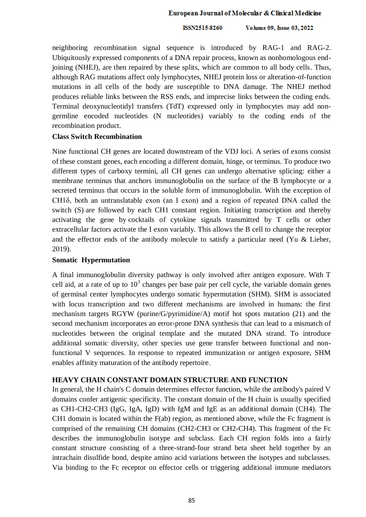neighboring recombination signal sequence is introduced by RAG-1 and RAG-2. Ubiquitously expressed components of a DNA repair process, known as nonhomologous endjoining (NHEJ), are then repaired by these splits, which are common to all body cells. Thus, although RAG mutations affect only lymphocytes, NHEJ protein loss or alteration-of-function mutations in all cells of the body are susceptible to DNA damage. The NHEJ method produces reliable links between the RSS ends, and imprecise links between the coding ends. Terminal deoxynucleotidyl transfers (TdT) expressed only in lymphocytes may add nongermline encoded nucleotides (N nucleotides) variably to the coding ends of the recombination product.

## **Class Switch Recombination**

Nine functional CH genes are located downstream of the VDJ loci. A series of exons consist of these constant genes, each encoding a different domain, hinge, or terminus. To produce two different types of carboxy termini, all CH genes can undergo alternative splicing: either a membrane terminus that anchors immunoglobulin on the surface of the B lymphocyte or a secreted terminus that occurs in the soluble form of immunoglobulin. With the exception of CH1δ, both an untranslatable exon (an I exon) and a region of repeated DNA called the switch (S) are followed by each CH1 constant region. Initiating transcription and thereby activating the gene by cocktails of cytokine signals transmitted by T cells or other extracellular factors activate the I exon variably. This allows the B cell to change the receptor and the effector ends of the antibody molecule to satisfy a particular need (Yu & Lieber, 2019).

## **Somatic. Hypermutation.**

A final immunoglobulin diversity pathway is only involved after antigen exposure. With T cell aid, at a rate of up to  $10<sup>3</sup>$  changes per base pair per cell cycle, the variable domain genes of germinal center lymphocytes undergo somatic hypermutation (SHM). SHM is associated with locus transcription and two different mechanisms are involved in humans: the first mechanism targets RGYW (purine/G/pyrimidine/A) motif hot spots mutation (21) and the second mechanism incorporates an error-prone DNA synthesis that can lead to a mismatch of nucleotides between the original template and the mutated DNA strand. To introduce additional somatic diversity, other species use gene transfer between functional and nonfunctional V sequences. In response to repeated immunization or antigen exposure, SHM enables affinity maturation of the antibody repertoire.

## **HEAVY CHAIN CONSTANT DOMAIN STRUCTURE AND FUNCTION**

In general, the H chain's C domain determines effector function, while the antibody's paired V domains confer antigenic specificity. The constant domain of the H chain is usually specified as CH1-CH2-CH3 (IgG, IgA, IgD) with IgM and IgE as an additional domain (CH4). The CH1 domain is located within the F(ab) region, as mentioned above, while the Fc fragment is comprised of the remaining CH domains (CH2-CH3 or CH2-CH4). This fragment of the Fc describes the immunoglobulin isotype and subclass. Each CH region folds into a fairly constant structure consisting of a three-strand-four strand beta sheet held together by an intrachain disulfide bond, despite amino acid variations between the isotypes and subclasses. Via binding to the Fc receptor on effector cells or triggering additional immune mediators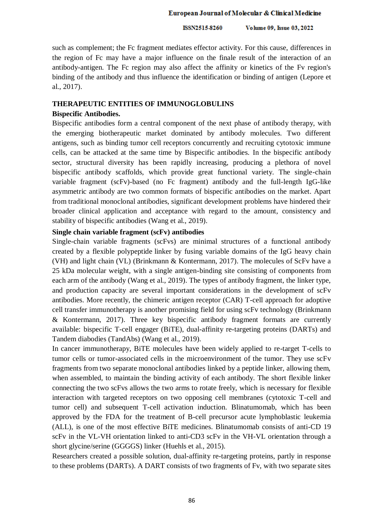ISSN2515-8260 Volume 09, Issue 03, 2022

such as complement; the Fc fragment mediates effector activity. For this cause, differences in the region of Fc may have a major influence on the finale result of the interaction of an antibody-antigen. The Fc region may also affect the affinity or kinetics of the Fv region's binding of the antibody and thus influence the identification or binding of antigen (Lepore et al., 2017).

## **THERAPEUTIC ENTITIES OF IMMUNOGLOBULINS**

#### **Bispecific Antibodies.**

Bispecific antibodies form a central component of the next phase of antibody therapy, with the emerging biotherapeutic market dominated by antibody molecules. Two different antigens, such as binding tumor cell receptors concurrently and recruiting cytotoxic immune cells, can be attacked at the same time by Bispecific antibodies. In the bispecific antibody sector, structural diversity has been rapidly increasing, producing a plethora of novel bispecific antibody scaffolds, which provide great functional variety. The single-chain variable fragment (scFv)-based (no Fc fragment) antibody and the full-length IgG-like asymmetric antibody are two common formats of bispecific antibodies on the market. Apart from traditional monoclonal antibodies, significant development problems have hindered their broader clinical application and acceptance with regard to the amount, consistency and stability of bispecific antibodies (Wang et al., 2019).

## **Single chain variable fragment (scFv) antibodies**

Single-chain variable fragments (scFvs) are minimal structures of a functional antibody created by a flexible polypeptide linker by fusing variable domains of the IgG heavy chain (VH) and light chain (VL) (Brinkmann & Kontermann, 2017). The molecules of ScFv have a 25 kDa molecular weight, with a single antigen-binding site consisting of components from each arm of the antibody (Wang et al., 2019). The types of antibody fragment, the linker type, and production capacity are several important considerations in the development of scFv antibodies. More recently, the chimeric antigen receptor (CAR) T-cell approach for adoptive cell transfer immunotherapy is another promising field for using scFv technology (Brinkmann & Kontermann, 2017). Three key bispecific antibody fragment formats are currently available: bispecific T-cell engager (BiTE), dual-affinity re-targeting proteins (DARTs) and Tandem diabodies (TandAbs) (Wang et al., 2019).

In cancer immunotherapy, BiTE molecules have been widely applied to re-target T-cells to tumor cells or tumor-associated cells in the microenvironment of the tumor. They use scFv fragments from two separate monoclonal antibodies linked by a peptide linker, allowing them, when assembled, to maintain the binding activity of each antibody. The short flexible linker connecting the two scFvs allows the two arms to rotate freely, which is necessary for flexible interaction with targeted receptors on two opposing cell membranes (cytotoxic T-cell and tumor cell) and subsequent T-cell activation induction. Blinatumomab, which has been approved by the FDA for the treatment of B-cell precursor acute lymphoblastic leukemia (ALL), is one of the most effective BiTE medicines. Blinatumomab consists of anti-CD 19 scFv in the VL-VH orientation linked to anti-CD3 scFv in the VH-VL orientation through a short glycine/serine (GGGGS) linker (Huehls et al., 2015).

Researchers created a possible solution, dual-affinity re-targeting proteins, partly in response to these problems (DARTs). A DART consists of two fragments of Fv, with two separate sites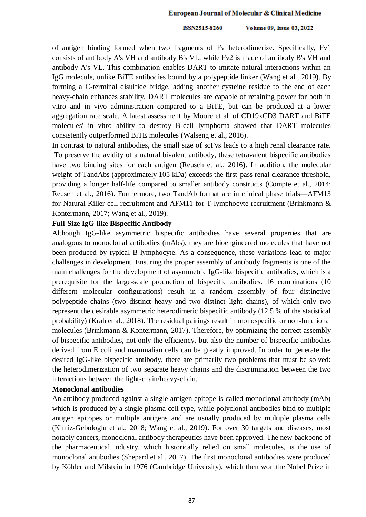#### ISSN2515-8260 Volume 09, Issue 03, 2022

of antigen binding formed when two fragments of Fv heterodimerize. Specifically, Fv1 consists of antibody A's VH and antibody B's VL, while Fv2 is made of antibody B's VH and antibody A's VL. This combination enables DART to imitate natural interactions within an IgG molecule, unlike BiTE antibodies bound by a polypeptide linker (Wang et al., 2019). By forming a C-terminal disulfide bridge, adding another cysteine residue to the end of each heavy-chain enhances stability. DART molecules are capable of retaining power for both in vitro and in vivo administration compared to a BiTE, but can be produced at a lower aggregation rate scale. A latest assessment by Moore et al. of CD19xCD3 DART and BiTE molecules' in vitro ability to destroy B-cell lymphoma showed that DART molecules consistently outperformed BiTE molecules (Walseng et al., 2016).

In contrast to natural antibodies, the small size of scFvs leads to a high renal clearance rate. To preserve the avidity of a natural bivalent antibody, these tetravalent bispecific antibodies have two binding sites for each antigen (Reusch et al., 2016). In addition, the molecular weight of TandAbs (approximately 105 kDa) exceeds the first-pass renal clearance threshold, providing a longer half-life compared to smaller antibody constructs (Compte et al., 2014; Reusch et al., 2016). Furthermore, two TandAb format are in clinical phase trials—AFM13 for Natural Killer cell recruitment and AFM11 for T-lymphocyte recruitment (Brinkmann & Kontermann, 2017; Wang et al., 2019).

## **Full-Size IgG-like Bispecific Antibody**

Although IgG-like asymmetric bispecific antibodies have several properties that are analogous to monoclonal antibodies (mAbs), they are bioengineered molecules that have not been produced by typical B-lymphocyte. As a consequence, these variations lead to major challenges in development. Ensuring the proper assembly of antibody fragments is one of the main challenges for the development of asymmetric IgG-like bispecific antibodies, which is a prerequisite for the large-scale production of bispecific antibodies. 16 combinations (10 different molecular configurations) result in a random assembly of four distinctive polypeptide chains (two distinct heavy and two distinct light chains), of which only two represent the desirable asymmetric heterodimeric bispecific antibody (12.5 % of the statistical probability) (Krah et al., 2018). The residual pairings result in monospecific or non-functional molecules (Brinkmann & Kontermann, 2017). Therefore, by optimizing the correct assembly of bispecific antibodies, not only the efficiency, but also the number of bispecific antibodies derived from E coli and mammalian cells can be greatly improved. In order to generate the desired IgG-like bispecific antibody, there are primarily two problems that must be solved: the heterodimerization of two separate heavy chains and the discrimination between the two interactions between the light-chain/heavy-chain.

## **Monoclonal antibodies**

An antibody produced against a single antigen epitope is called monoclonal antibody (mAb) which is produced by a single plasma cell type, while polyclonal antibodies bind to multiple antigen epitopes or multiple antigens and are usually produced by multiple plasma cells (Kimiz-Gebologlu et al., 2018; Wang et al., 2019). For over 30 targets and diseases, most notably cancers, monoclonal antibody therapeutics have been approved. The new backbone of the pharmaceutical industry, which historically relied on small molecules, is the use of monoclonal antibodies (Shepard et al., 2017). The first monoclonal antibodies were produced by Köhler and Milstein in 1976 (Cambridge University), which then won the Nobel Prize in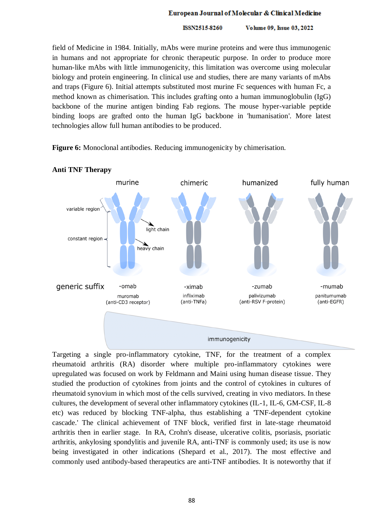ISSN2515-8260 Volume 09, Issue 03, 2022

field of Medicine in 1984. Initially, mAbs were murine proteins and were thus immunogenic in humans and not appropriate for chronic therapeutic purpose. In order to produce more human-like mAbs with little immunogenicity, this limitation was overcome using molecular biology and protein engineering. In clinical use and studies, there are many variants of mAbs and traps (Figure 6). Initial attempts substituted most murine Fc sequences with human Fc, a method known as chimerisation. This includes grafting onto a human immunoglobulin (IgG) backbone of the murine antigen binding Fab regions. The mouse hyper-variable peptide binding loops are grafted onto the human IgG backbone in 'humanisation'. More latest technologies allow full human antibodies to be produced.

**Figure 6:** Monoclonal antibodies. Reducing immunogenicity by chimerisation.



## **Anti TNF Therapy**

Targeting a single pro-inflammatory cytokine, TNF, for the treatment of a complex rheumatoid arthritis (RA) disorder where multiple pro-inflammatory cytokines were upregulated was focused on work by Feldmann and Maini using human disease tissue. They studied the production of cytokines from joints and the control of cytokines in cultures of rheumatoid synovium in which most of the cells survived, creating in vivo mediators. In these cultures, the development of several other inflammatory cytokines (IL-1, IL-6, GM-CSF, IL-8 etc) was reduced by blocking TNF-alpha, thus establishing a 'TNF-dependent cytokine cascade.' The clinical achievement of TNF block, verified first in late-stage rheumatoid arthritis then in earlier stage. In RA, Crohn's disease, ulcerative colitis, psoriasis, psoriatic arthritis, ankylosing spondylitis and juvenile RA, anti-TNF is commonly used; its use is now being investigated in other indications (Shepard et al., 2017). The most effective and commonly used antibody-based therapeutics are anti-TNF antibodies. It is noteworthy that if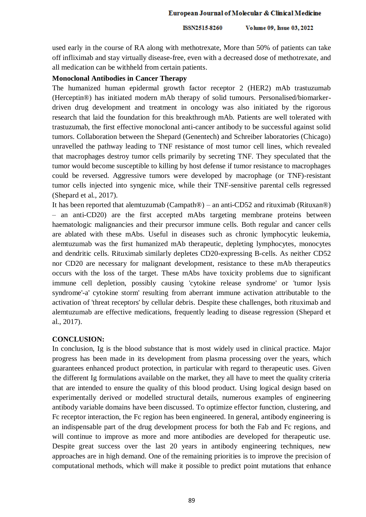ISSN2515-8260 Volume 09, Issue 03, 2022

used early in the course of RA along with methotrexate, More than 50% of patients can take off infliximab and stay virtually disease-free, even with a decreased dose of methotrexate, and all medication can be withheld from certain patients.

## **Monoclonal Antibodies in Cancer Therapy**

The humanized human epidermal growth factor receptor 2 (HER2) mAb trastuzumab (Herceptin®) has initiated modern mAb therapy of solid tumours. Personalised/biomarkerdriven drug development and treatment in oncology was also initiated by the rigorous research that laid the foundation for this breakthrough mAb. Patients are well tolerated with trastuzumab, the first effective monoclonal anti-cancer antibody to be successful against solid tumors. Collaboration between the Shepard (Genentech) and Schreiber laboratories (Chicago) unravelled the pathway leading to TNF resistance of most tumor cell lines, which revealed that macrophages destroy tumor cells primarily by secreting TNF. They speculated that the tumor would become susceptible to killing by host defense if tumor resistance to macrophages could be reversed. Aggressive tumors were developed by macrophage (or TNF)-resistant tumor cells injected into syngenic mice, while their TNF-sensitive parental cells regressed (Shepard et al., 2017).

It has been reported that alemtuzumab (Campath®) – an anti-CD52 and rituximab (Rituxan®) – an anti-CD20) are the first accepted mAbs targeting membrane proteins between haematologic malignancies and their precursor immune cells. Both regular and cancer cells are ablated with these mAbs. Useful in diseases such as chronic lymphocytic leukemia, alemtuzumab was the first humanized mAb therapeutic, depleting lymphocytes, monocytes and dendritic cells. Rituximab similarly depletes CD20-expressing B-cells. As neither CD52 nor CD20 are necessary for malignant development, resistance to these mAb therapeutics occurs with the loss of the target. These mAbs have toxicity problems due to significant immune cell depletion, possibly causing 'cytokine release syndrome' or 'tumor lysis syndrome'-a' cytokine storm' resulting from aberrant immune activation attributable to the activation of 'threat receptors' by cellular debris. Despite these challenges, both rituximab and alemtuzumab are effective medications, frequently leading to disease regression (Shepard et al., 2017).

## **CONCLUSION:**

In conclusion, Ig is the blood substance that is most widely used in clinical practice. Major progress has been made in its development from plasma processing over the years, which guarantees enhanced product protection, in particular with regard to therapeutic uses. Given the different Ig formulations available on the market, they all have to meet the quality criteria that are intended to ensure the quality of this blood product. Using logical design based on experimentally derived or modelled structural details, numerous examples of engineering antibody variable domains have been discussed. To optimize effector function, clustering, and Fc receptor interaction, the Fc region has been engineered. In general, antibody engineering is an indispensable part of the drug development process for both the Fab and Fc regions, and will continue to improve as more and more antibodies are developed for therapeutic use. Despite great success over the last 20 years in antibody engineering techniques, new approaches are in high demand. One of the remaining priorities is to improve the precision of computational methods, which will make it possible to predict point mutations that enhance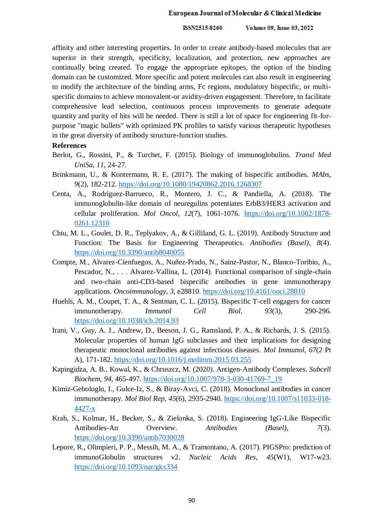affinity and other interesting properties. In order to create antibody-based molecules that are superior in their strength, specificity, localization, and protection, new approaches are continually being created. To engage the appropriate epitopes, the option of the binding domain can be customized. More specific and potent molecules can also result in engineering to modify the architecture of the binding arms, Fc regions, modulatory bispecific, or multispecific domains to achieve monovalent-or avidity-driven engagement. Therefore, to facilitate comprehensive lead selection, continuous process improvements to generate adequate quantity and purity of hits will be needed. There is still a lot of space for engineering fit-forpurpose "magic bullets" with optimized PK profiles to satisfy various therapeutic hypotheses in the great diversity of antibody structure-function studies.

## **References**

- Berlot, G., Rossini, P., & Turchet, F. (2015). Biology of immunoglobulins. *Transl Med UniSa*, *11*, 24-27.
- Brinkmann, U., & Kontermann, R. E. (2017). The making of bispecific antibodies. *MAbs*, *9*(2), 182-212.<https://doi.org/10.1080/19420862.2016.1268307>
- Centa, A., Rodríguez-Barrueco, R., Montero, J. C., & Pandiella, A. (2018). The immunoglobulin-like domain of neuregulins potentiates ErbB3/HER3 activation and cellular proliferation. *Mol Oncol*, *12*(7), 1061-1076. [https://doi.org/10.1002/1878-](https://doi.org/10.1002/1878-0261.12310) [0261.12310](https://doi.org/10.1002/1878-0261.12310)
- Chiu, M. L., Goulet, D. R., Teplyakov, A., & Gilliland, G. L. (2019). Antibody Structure and Function: The Basis for Engineering Therapeutics. *Antibodies (Basel)*, *8*(4). <https://doi.org/10.3390/antib8040055>
- Compte, M., Alvarez-Cienfuegos, A., Nuñez-Prado, N., Sainz-Pastor, N., Blanco-Toribio, A., Pescador, N., . . . Alvarez-Vallina, L. (2014). Functional comparison of single-chain and two-chain anti-CD3-based bispecific antibodies in gene immunotherapy applications. *Oncoimmunology*, *3*, e28810.<https://doi.org/10.4161/onci.28810>
- Huehls, A. M., Coupet, T. A., & Sentman, C. L. (2015). Bispecific T-cell engagers for cancer immunotherapy. *Immunol Cell Biol*, *93*(3), 290-296. <https://doi.org/10.1038/icb.2014.93>
- Irani, V., Guy, A. J., Andrew, D., Beeson, J. G., Ramsland, P. A., & Richards, J. S. (2015). Molecular properties of human IgG subclasses and their implications for designing therapeutic monoclonal antibodies against infectious diseases. *Mol Immunol*, *67*(2 Pt A), 171-182.<https://doi.org/10.1016/j.molimm.2015.03.255>
- Kapingidza, A. B., Kowal, K., & Chruszcz, M. (2020). Antigen-Antibody Complexes. *Subcell Biochem*, *94*, 465-497. [https://doi.org/10.1007/978-3-030-41769-7\\_19](https://doi.org/10.1007/978-3-030-41769-7_19)
- Kimiz-Gebologlu, I., Gulce-Iz, S., & Biray-Avci, C. (2018). Monoclonal antibodies in cancer immunotherapy. *Mol Biol Rep*, *45*(6), 2935-2940. [https://doi.org/10.1007/s11033-018-](https://doi.org/10.1007/s11033-018-4427-x) [4427-x](https://doi.org/10.1007/s11033-018-4427-x)
- Krah, S., Kolmar, H., Becker, S., & Zielonka, S. (2018). Engineering IgG-Like Bispecific Antibodies-An Overview. *Antibodies (Basel)*, *7*(3). <https://doi.org/10.3390/antib7030028>
- Lepore, R., Olimpieri, P. P., Messih, M. A., & Tramontano, A. (2017). PIGSPro: prediction of immunoGlobulin structures v2. *Nucleic Acids Res*, *45*(W1), W17-w23. <https://doi.org/10.1093/nar/gkx334>